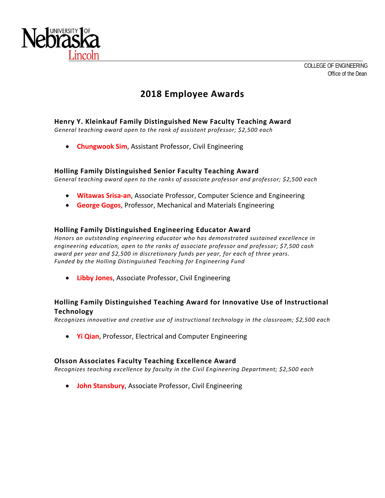

# **2018 Employee Awards**

## **Henry Y. Kleinkauf Family Distinguished New Faculty Teaching Award**

*General teaching award open to the rank of assistant professor; \$2,500 each* 

**Chungwook Sim**, Assistant Professor, Civil Engineering

#### **Holling Family Distinguished Senior Faculty Teaching Award**

*General teaching award open to the ranks of associate professor and professor; \$2,500 each* 

- **Witawas Srisa‐an**, Associate Professor, Computer Science and Engineering
- **George Gogos**, Professor, Mechanical and Materials Engineering

#### **Holling Family Distinguished Engineering Educator Award**

*Honors an outstanding engineering educator who has demonstrated sustained excellence in engineering education, open to the ranks of associate professor and professor; \$7,500 cash award per year and \$2,500 in discretionary funds per year, for each of three years. Funded by the Holling Distinguished Teaching for Engineering Fund* 

**Libby Jones**, Associate Professor, Civil Engineering

## **Holling Family Distinguished Teaching Award for Innovative Use of Instructional Technology**

*Recognizes innovative and creative use of instructional technology in the classroom; \$2,500 each* 

**Yi Qian**, Professor, Electrical and Computer Engineering

#### **Olsson Associates Faculty Teaching Excellence Award**

*Recognizes teaching excellence by faculty in the Civil Engineering Department; \$2,500 each* 

**John Stansbury**, Associate Professor, Civil Engineering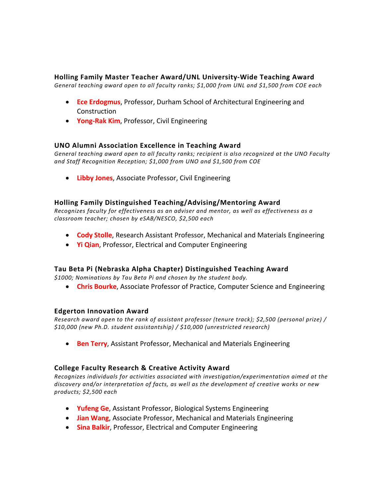### **Holling Family Master Teacher Award/UNL University‐Wide Teaching Award**

*General teaching award open to all faculty ranks; \$1,000 from UNL and \$1,500 from COE each* 

- **Ece Erdogmus**, Professor, Durham School of Architectural Engineering and Construction
- **Yong‐Rak Kim**, Professor, Civil Engineering

## **UNO Alumni Association Excellence in Teaching Award**

*General teaching award open to all faculty ranks; recipient is also recognized at the UNO Faculty and Staff Recognition Reception; \$1,000 from UNO and \$1,500 from COE* 

**Libby Jones**, Associate Professor, Civil Engineering

#### **Holling Family Distinguished Teaching/Advising/Mentoring Award**

*Recognizes faculty for effectiveness as an adviser and mentor, as well as effectiveness as a classroom teacher; chosen by eSAB/NESCO, \$2,500 each* 

- **Cody Stolle**, Research Assistant Professor, Mechanical and Materials Engineering
- **Yi Qian**, Professor, Electrical and Computer Engineering

#### **Tau Beta Pi (Nebraska Alpha Chapter) Distinguished Teaching Award**

*\$1000; Nominations by Tau Beta Pi and chosen by the student body.* 

**Chris Bourke**, Associate Professor of Practice, Computer Science and Engineering

#### **Edgerton Innovation Award**

*Research award open to the rank of assistant professor (tenure track); \$2,500 (personal prize) / \$10,000 (new Ph.D. student assistantship) / \$10,000 (unrestricted research)* 

**Ben Terry**, Assistant Professor, Mechanical and Materials Engineering

#### **College Faculty Research & Creative Activity Award**

*Recognizes individuals for activities associated with investigation/experimentation aimed at the discovery and/or interpretation of facts, as well as the development of creative works or new products; \$2,500 each* 

- **Yufeng Ge**, Assistant Professor, Biological Systems Engineering
- **Jian Wang**, Associate Professor, Mechanical and Materials Engineering
- **Sina Balkir, Professor, Electrical and Computer Engineering**